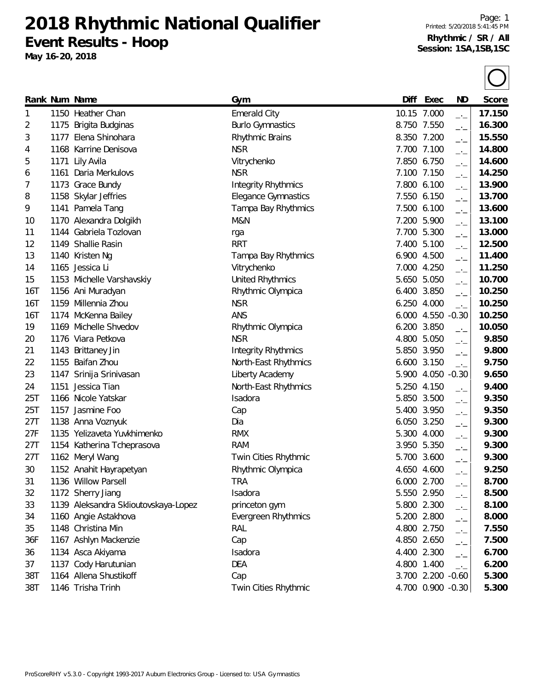**2018 Rhythmic National Qualifier Event Results - Hoop**

**May 16-20, 2018**

|     |      | Rank Num Name                        | Gym                        | Diff  | Exec              | <b>ND</b>                | Score  |
|-----|------|--------------------------------------|----------------------------|-------|-------------------|--------------------------|--------|
| 1   |      | 1150 Heather Chan                    | <b>Emerald City</b>        |       | 10.15 7.000       | $-1$                     | 17.150 |
| 2   |      | 1175 Brigita Budginas                | <b>Burlo Gymnastics</b>    |       | 8.750 7.550       | $\overline{\phantom{a}}$ | 16.300 |
| 3   | 1177 | Elena Shinohara                      | Rhythmic Brains            |       | 8.350 7.200       | $\overline{\phantom{a}}$ | 15.550 |
| 4   |      | 1168 Karrine Denisova                | <b>NSR</b>                 |       | 7.700 7.100       | $\overline{\phantom{a}}$ | 14.800 |
| 5   | 1171 | Lily Avila                           | Vitrychenko                |       | 7.850 6.750       | $-1$                     | 14.600 |
| 6   | 1161 | Daria Merkulovs                      | <b>NSR</b>                 |       | 7.100 7.150       | $\overline{\phantom{a}}$ | 14.250 |
| 7   |      | 1173 Grace Bundy                     | <b>Integrity Rhythmics</b> |       | 7.800 6.100       | $\rightarrow$            | 13.900 |
| 8   |      | 1158 Skylar Jeffries                 | Elegance Gymnastics        |       | 7.550 6.150       | $-1$                     | 13.700 |
| 9   |      | 1141 Pamela Tang                     | Tampa Bay Rhythmics        | 7.500 | 6.100             | $-1$                     | 13.600 |
| 10  |      | 1170 Alexandra Dolgikh               | M&N                        |       | 7.200 5.900       | $\overline{\phantom{a}}$ | 13.100 |
| 11  |      | 1144 Gabriela Tozlovan               | rga                        | 7.700 | 5.300             | $\rightarrow$            | 13.000 |
| 12  |      | 1149 Shallie Rasin                   | <b>RRT</b>                 |       | 7.400 5.100       | $-1$                     | 12.500 |
| 13  |      | 1140 Kristen Ng                      | Tampa Bay Rhythmics        |       | 6.900 4.500       | $-1$                     | 11.400 |
| 14  |      | 1165 Jessica Li                      | Vitrychenko                |       | 7.000 4.250       | $-1$                     | 11.250 |
| 15  |      | 1153 Michelle Varshavskiy            | United Rhythmics           |       | 5.650 5.050       | $-1$                     | 10.700 |
| 16T |      | 1156 Ani Muradyan                    | Rhythmic Olympica          | 6.400 | 3.850             | $\overline{\phantom{a}}$ | 10.250 |
| 16T |      | 1159 Millennia Zhou                  | <b>NSR</b>                 |       | 6.250 4.000       | $\overline{\phantom{a}}$ | 10.250 |
| 16T |      | 1174 McKenna Bailey                  | ANS                        | 6.000 | 4.550             | $-0.30$                  | 10.250 |
| 19  |      | 1169 Michelle Shvedov                | Rhythmic Olympica          | 6.200 | 3.850             | $\overline{a}$           | 10.050 |
| 20  |      | 1176 Viara Petkova                   | <b>NSR</b>                 | 4.800 | 5.050             | $\rightarrow$            | 9.850  |
| 21  |      | 1143 Brittaney Jin                   | <b>Integrity Rhythmics</b> |       | 5.850 3.950       | $\overline{\phantom{a}}$ | 9.800  |
| 22  |      | 1155 Baifan Zhou                     | North-East Rhythmics       | 6.600 | 3.150             | $-1$                     | 9.750  |
| 23  |      | 1147 Srinija Srinivasan              | Liberty Academy            |       | 5.900 4.050       | $-0.30$                  | 9.650  |
| 24  | 1151 | Jessica Tian                         | North-East Rhythmics       |       | 5.250 4.150       | $-1$                     | 9.400  |
| 25T |      | 1166 Nicole Yatskar                  | Isadora                    |       | 5.850 3.500       | $-1$                     | 9.350  |
| 25T |      | 1157 Jasmine Foo                     | Cap                        | 5.400 | 3.950             | $-1$                     | 9.350  |
| 27T |      | 1138 Anna Voznyuk                    | Dia                        | 6.050 | 3.250             | $-1$                     | 9.300  |
| 27F |      | 1135 Yelizaveta Yuvkhimenko          | <b>RMX</b>                 |       | 5.300 4.000       | $-1$                     | 9.300  |
| 27T |      | 1154 Katherina Tcheprasova           | <b>RAM</b>                 |       | 3.950 5.350       | $-1$                     | 9.300  |
| 27T |      | 1162 Meryl Wang                      | Twin Cities Rhythmic       | 5.700 | 3.600             | $-1$                     | 9.300  |
| 30  |      | 1152 Anahit Hayrapetyan              | Rhythmic Olympica          |       | 4.650 4.600       | $-1$                     | 9.250  |
| 31  |      | 1136 Willow Parsell                  | TRA                        |       | 6.000 2.700       | —'—                      | 8.700  |
| 32  |      | 1172 Sherry Jiang                    | Isadora                    |       | 5.550 2.950       | $\overline{\phantom{a}}$ | 8.500  |
| 33  |      | 1139 Aleksandra Sklioutovskaya-Lopez | princeton gym              |       | 5.800 2.300       | —•—                      | 8.100  |
| 34  |      | 1160 Angie Astakhova                 | Evergreen Rhythmics        |       | 5.200 2.800       | $\overline{\phantom{a}}$ | 8.000  |
| 35  |      | 1148 Christina Min                   | RAL                        |       | 4.800 2.750       | $-1$                     | 7.550  |
| 36F |      | 1167 Ashlyn Mackenzie                | Cap                        |       | 4.850 2.650       | $\overline{\phantom{a}}$ | 7.500  |
| 36  |      | 1134 Asca Akiyama                    | Isadora                    |       | 4.400 2.300       | $-1$                     | 6.700  |
| 37  |      | 1137 Cody Harutunian                 | <b>DEA</b>                 |       | 4.800 1.400       | $-1$                     | 6.200  |
| 38T |      | 1164 Allena Shustikoff               | Cap                        |       | 3.700 2.200 -0.60 |                          | 5.300  |
| 38T |      | 1146 Trisha Trinh                    | Twin Cities Rhythmic       |       | 4.700 0.900 -0.30 |                          | 5.300  |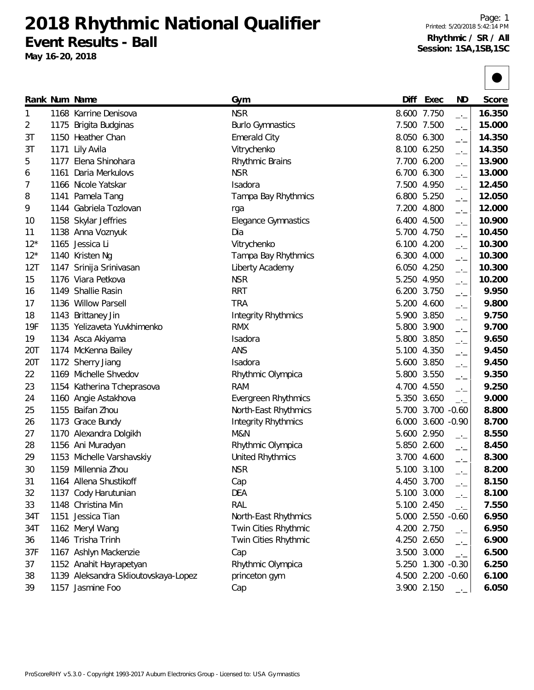**2018 Rhythmic National Qualifier Event Results - Ball**

**May 16-20, 2018**

|       |      | Rank Num Name                        | Gym                        | Diff  | Exec              | ND                       | Score  |
|-------|------|--------------------------------------|----------------------------|-------|-------------------|--------------------------|--------|
| 1     |      | 1168 Karrine Denisova                | <b>NSR</b>                 |       | 8.600 7.750       | $-1$                     | 16.350 |
| 2     |      | 1175 Brigita Budginas                | <b>Burlo Gymnastics</b>    |       | 7.500 7.500       | $-1$                     | 15.000 |
| 3T    |      | 1150 Heather Chan                    | <b>Emerald City</b>        |       | 8.050 6.300       | $-1$                     | 14.350 |
| 3T    | 1171 | Lily Avila                           | Vitrychenko                |       | 8.100 6.250       | $-1$                     | 14.350 |
| 5     |      | 1177 Elena Shinohara                 | Rhythmic Brains            | 7.700 | 6.200             | $ -$                     | 13.900 |
| 6     | 1161 | Daria Merkulovs                      | <b>NSR</b>                 | 6.700 | 6.300             | $-1$                     | 13.000 |
| 7     |      | 1166 Nicole Yatskar                  | Isadora                    |       | 7.500 4.950       | $-1$                     | 12.450 |
| 8     |      | 1141 Pamela Tang                     | Tampa Bay Rhythmics        |       | 6.800 5.250       | $-1$                     | 12.050 |
| 9     |      | 1144 Gabriela Tozlovan               | rga                        |       | 7.200 4.800       | $-1$                     | 12.000 |
| 10    |      | 1158 Skylar Jeffries                 | <b>Elegance Gymnastics</b> | 6.400 | 4.500             | $-1$                     | 10.900 |
| 11    |      | 1138 Anna Voznyuk                    | Dia                        |       | 5.700 4.750       | $-1$                     | 10.450 |
| $12*$ |      | 1165 Jessica Li                      | Vitrychenko                | 6.100 | 4.200             | $-$ ' $-$                | 10.300 |
| $12*$ |      | 1140 Kristen Ng                      | Tampa Bay Rhythmics        |       | 6.300 4.000       | $ -$                     | 10.300 |
| 12T   |      | 1147 Srinija Srinivasan              | Liberty Academy            | 6.050 | 4.250             | $-1$                     | 10.300 |
| 15    |      | 1176 Viara Petkova                   | <b>NSR</b>                 |       | 5.250 4.950       | $-$ ' $-$                | 10.200 |
| 16    |      | 1149 Shallie Rasin                   | <b>RRT</b>                 |       | 6.200 3.750       | $-1$                     | 9.950  |
| 17    |      | 1136 Willow Parsell                  | <b>TRA</b>                 |       | 5.200 4.600       | $-1$                     | 9.800  |
| 18    |      | 1143 Brittaney Jin                   | <b>Integrity Rhythmics</b> |       | 5.900 3.850       | $-1$                     | 9.750  |
| 19F   |      | 1135 Yelizaveta Yuvkhimenko          | <b>RMX</b>                 |       | 5.800 3.900       | $\overline{\phantom{a}}$ | 9.700  |
| 19    |      | 1134 Asca Akiyama                    | Isadora                    | 5.800 | 3.850             | $-1$                     | 9.650  |
| 20T   |      | 1174 McKenna Bailey                  | ANS                        | 5.100 | 4.350             | $-1$                     | 9.450  |
| 20T   |      | 1172 Sherry Jiang                    | Isadora                    |       | 5.600 3.850       | $-1$                     | 9.450  |
| 22    |      | 1169 Michelle Shvedov                | Rhythmic Olympica          |       | 5.800 3.550       | $\overline{\phantom{a}}$ | 9.350  |
| 23    |      | 1154 Katherina Tcheprasova           | <b>RAM</b>                 |       | 4.700 4.550       | $-1$                     | 9.250  |
| 24    |      | 1160 Angie Astakhova                 | Evergreen Rhythmics        | 5.350 | 3.650             | $ -$                     | 9.000  |
| 25    |      | 1155 Baifan Zhou                     | North-East Rhythmics       |       | 5.700 3.700 -0.60 |                          | 8.800  |
| 26    |      | 1173 Grace Bundy                     | <b>Integrity Rhythmics</b> |       | 6.000 3.600 -0.90 |                          | 8.700  |
| 27    |      | 1170 Alexandra Dolgikh               | M&N                        | 5.600 | 2.950             | $ -$                     | 8.550  |
| 28    |      | 1156 Ani Muradyan                    | Rhythmic Olympica          | 5.850 | 2.600             | $-1$                     | 8.450  |
| 29    |      | 1153 Michelle Varshavskiy            | <b>United Rhythmics</b>    |       | 3.700 4.600       | $-1$                     | 8.300  |
| 30    |      | 1159 Millennia Zhou                  | <b>NSR</b>                 |       | 5.100 3.100       | $-1$                     | 8.200  |
| 31    |      | 1164 Allena Shustikoff               | Cap                        |       | 4.450 3.700       | $-1$                     | 8.150  |
| 32    |      | 1137 Cody Harutunian                 | <b>DEA</b>                 |       | 5.100 3.000       | $-1$                     | 8.100  |
| 33    |      | 1148 Christina Min                   | RAL                        |       | 5.100 2.450       | $-1$                     | 7.550  |
| 34T   |      | 1151 Jessica Tian                    | North-East Rhythmics       |       | 5.000 2.550 -0.60 |                          | 6.950  |
| 34T   |      | 1162 Meryl Wang                      | Twin Cities Rhythmic       |       | 4.200 2.750       | $\overline{\phantom{a}}$ | 6.950  |
| 36    |      | 1146 Trisha Trinh                    | Twin Cities Rhythmic       |       | 4.250 2.650       | $\overline{\phantom{a}}$ | 6.900  |
| 37F   |      | 1167 Ashlyn Mackenzie                | Cap                        |       | 3.500 3.000       | $-1$                     | 6.500  |
| 37    |      | 1152 Anahit Hayrapetyan              | Rhythmic Olympica          |       | 5.250 1.300 -0.30 |                          | 6.250  |
| 38    |      | 1139 Aleksandra Sklioutovskaya-Lopez | princeton gym              |       | 4.500 2.200 -0.60 |                          | 6.100  |
| 39    |      | 1157 Jasmine Foo                     | Cap                        |       | 3.900 2.150       | $-1$                     | 6.050  |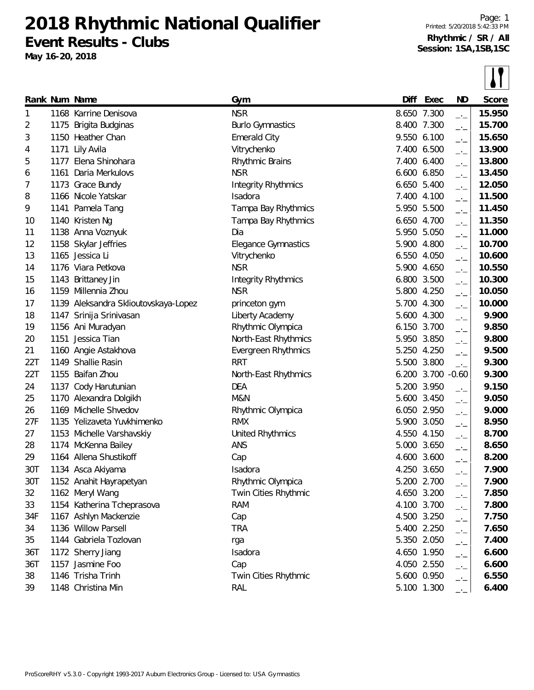**2018 Rhythmic National Qualifier Event Results - Clubs**

**May 16-20, 2018**

 $\overline{\mathbf{H}}$ 

|     |      |                                      |                            |       |                   |                                        | - - -  |
|-----|------|--------------------------------------|----------------------------|-------|-------------------|----------------------------------------|--------|
|     |      | Rank Num Name                        | Gym                        | Diff  | Exec              | ND                                     | Score  |
| 1   |      | 1168 Karrine Denisova                | <b>NSR</b>                 |       | 8.650 7.300       | $\rightarrow$                          | 15.950 |
| 2   |      | 1175 Brigita Budginas                | <b>Burlo Gymnastics</b>    |       | 8.400 7.300       | $\overline{\phantom{a}}$               | 15.700 |
| 3   |      | 1150 Heather Chan                    | <b>Emerald City</b>        |       | 9.550 6.100       | $-1$                                   | 15.650 |
| 4   | 1171 | Lily Avila                           | Vitrychenko                |       | 7.400 6.500       | $\Box$                                 | 13.900 |
| 5   | 1177 | Elena Shinohara                      | Rhythmic Brains            |       | 7.400 6.400       | $\Box$                                 | 13.800 |
| 6   | 1161 | Daria Merkulovs                      | <b>NSR</b>                 |       | 6.600 6.850       | $-1$                                   | 13.450 |
| 7   |      | 1173 Grace Bundy                     | Integrity Rhythmics        |       | 6.650 5.400       | $-1$                                   | 12.050 |
| 8   |      | 1166 Nicole Yatskar                  | Isadora                    |       | 7.400 4.100       | $-1$                                   | 11.500 |
| 9   |      | 1141 Pamela Tang                     | Tampa Bay Rhythmics        |       | 5.950 5.500       | $\overline{\phantom{a}}$               | 11.450 |
| 10  |      | 1140 Kristen Ng                      | Tampa Bay Rhythmics        |       | 6.650 4.700       | $-1$                                   | 11.350 |
| 11  |      | 1138 Anna Voznyuk                    | Dia                        | 5.950 | 5.050             | $-1$                                   | 11.000 |
| 12  |      | 1158 Skylar Jeffries                 | <b>Elegance Gymnastics</b> |       | 5.900 4.800       | $-1$                                   | 10.700 |
| 13  |      | 1165 Jessica Li                      | Vitrychenko                |       | 6.550 4.050       | $-1$                                   | 10.600 |
| 14  |      | 1176 Viara Petkova                   | <b>NSR</b>                 |       | 5.900 4.650       | $-1$                                   | 10.550 |
| 15  |      | 1143 Brittaney Jin                   | <b>Integrity Rhythmics</b> |       | 6.800 3.500       | $-1$                                   | 10.300 |
| 16  |      | 1159 Millennia Zhou                  | <b>NSR</b>                 |       | 5.800 4.250       | $\rightarrow$ $\overline{\phantom{0}}$ | 10.050 |
| 17  |      | 1139 Aleksandra Sklioutovskaya-Lopez | princeton gym              |       | 5.700 4.300       | $-1$                                   | 10.000 |
| 18  |      | 1147 Srinija Srinivasan              | Liberty Academy            |       | 5.600 4.300       | $-1$                                   | 9.900  |
| 19  |      | 1156 Ani Muradyan                    | Rhythmic Olympica          |       | 6.150 3.700       | $-1$                                   | 9.850  |
| 20  |      | 1151 Jessica Tian                    | North-East Rhythmics       |       | 5.950 3.850       | $-1$                                   | 9.800  |
| 21  |      | 1160 Angie Astakhova                 | Evergreen Rhythmics        |       | 5.250 4.250       | $-1$                                   | 9.500  |
| 22T |      | 1149 Shallie Rasin                   | <b>RRT</b>                 |       | 5.500 3.800       | $\overline{\phantom{a}}$               | 9.300  |
| 22T |      | 1155 Baifan Zhou                     | North-East Rhythmics       |       | 6.200 3.700 -0.60 |                                        | 9.300  |
| 24  |      | 1137 Cody Harutunian                 | <b>DEA</b>                 |       | 5.200 3.950       | $-1$                                   | 9.150  |
| 25  |      | 1170 Alexandra Dolgikh               | M&N                        |       | 5.600 3.450       | $-1$                                   | 9.050  |
| 26  |      | 1169 Michelle Shvedov                | Rhythmic Olympica          |       | 6.050 2.950       | $-1$                                   | 9.000  |
| 27F |      | 1135 Yelizaveta Yuvkhimenko          | <b>RMX</b>                 |       | 5.900 3.050       | $-1$                                   | 8.950  |
| 27  |      | 1153 Michelle Varshavskiy            | <b>United Rhythmics</b>    |       | 4.550 4.150       | $-1$                                   | 8.700  |
| 28  |      | 1174 McKenna Bailey                  | ANS                        | 5.000 | 3.650             | $-1$                                   | 8.650  |
| 29  |      | 1164 Allena Shustikoff               | Cap                        |       | 4.600 3.600       | $-1$                                   | 8.200  |
| 30T |      | 1134 Asca Akiyama                    | Isadora                    |       | 4.250 3.650       | $-1$                                   | 7.900  |
| 30T |      | 1152 Anahit Hayrapetyan              | Rhythmic Olympica          |       | 5.200 2.700       | $-$ ' $-$                              | 7.900  |
| 32  |      | 1162 Meryl Wang                      | Twin Cities Rhythmic       |       | 4.650 3.200       | $-1$                                   | 7.850  |
| 33  |      | 1154 Katherina Tcheprasova           | <b>RAM</b>                 |       | 4.100 3.700       | $-1$                                   | 7.800  |
| 34F |      | 1167 Ashlyn Mackenzie                | Cap                        |       | 4.500 3.250       | $-1$                                   | 7.750  |
| 34  |      | 1136 Willow Parsell                  | <b>TRA</b>                 |       | 5.400 2.250       | $ -$                                   | 7.650  |
| 35  |      | 1144 Gabriela Tozlovan               | rga                        |       | 5.350 2.050       | $-1$                                   | 7.400  |
| 36T |      | 1172 Sherry Jiang                    | Isadora                    |       | 4.650 1.950       | $-1$                                   | 6.600  |
| 36T |      | 1157 Jasmine Foo                     | Cap                        |       | 4.050 2.550       | $-1$                                   | 6.600  |
| 38  |      | 1146 Trisha Trinh                    | Twin Cities Rhythmic       |       | 5.600 0.950       | —'—                                    | 6.550  |
| 39  |      | 1148 Christina Min                   | <b>RAL</b>                 |       | 5.100 1.300       |                                        | 6.400  |